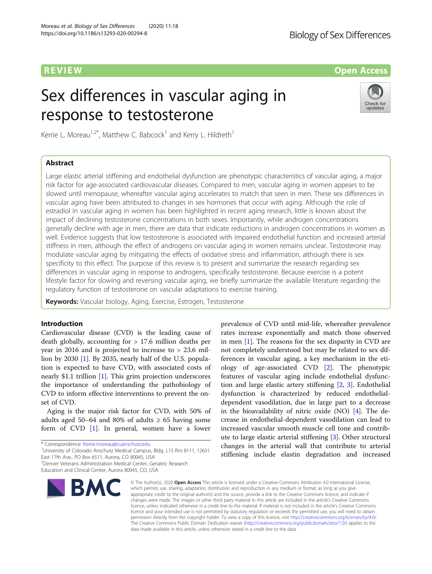## **REVIEW CONSUMING THE CONSUMING OPEN ACCESS**

# Sex differences in vascular aging in response to testosterone



Kerrie L. Moreau<sup>1,2\*</sup>, Matthew C. Babcock<sup>1</sup> and Kerry L. Hildreth<sup>1</sup>

## Abstract

Large elastic arterial stiffening and endothelial dysfunction are phenotypic characteristics of vascular aging, a major risk factor for age-associated cardiovascular diseases. Compared to men, vascular aging in women appears to be slowed until menopause, whereafter vascular aging accelerates to match that seen in men. These sex differences in vascular aging have been attributed to changes in sex hormones that occur with aging. Although the role of estradiol in vascular aging in women has been highlighted in recent aging research, little is known about the impact of declining testosterone concentrations in both sexes. Importantly, while androgen concentrations generally decline with age in men, there are data that indicate reductions in androgen concentrations in women as well. Evidence suggests that low testosterone is associated with impaired endothelial function and increased arterial stiffness in men, although the effect of androgens on vascular aging in women remains unclear. Testosterone may modulate vascular aging by mitigating the effects of oxidative stress and inflammation, although there is sex specificity to this effect. The purpose of this review is to present and summarize the research regarding sex differences in vascular aging in response to androgens, specifically testosterone. Because exercise is a potent lifestyle factor for slowing and reversing vascular aging, we briefly summarize the available literature regarding the regulatory function of testosterone on vascular adaptations to exercise training.

Keywords: Vascular biology, Aging, Exercise, Estrogen, Testosterone

## Introduction

Cardiovascular disease (CVD) is the leading cause of death globally, accounting for > 17.6 million deaths per year in 2016 and is projected to increase to > 23.6 million by 2030 [\[1](#page-9-0)]. By 2035, nearly half of the U.S. population is expected to have CVD, with associated costs of nearly \$1.1 trillion [\[1\]](#page-9-0). This grim projection underscores the importance of understanding the pathobiology of CVD to inform effective interventions to prevent the onset of CVD.

Aging is the major risk factor for CVD, with 50% of adults aged 50–64 and 80% of adults  $\geq$  65 having some form of CVD [[1\]](#page-9-0). In general, women have a lower

2 Denver Veterans Administration Medical Center, Geriatric Research Education and Clinical Center, Aurora 80045, CO, USA



prevalence of CVD until mid-life, whereafter prevalence rates increase exponentially and match those observed in men [\[1\]](#page-9-0). The reasons for the sex disparity in CVD are not completely understood but may be related to sex differences in vascular aging, a key mechanism in the etiology of age-associated CVD [\[2](#page-9-0)]. The phenotypic features of vascular aging include endothelial dysfunction and large elastic artery stiffening [[2,](#page-9-0) [3](#page-9-0)]. Endothelial dysfunction is characterized by reduced endothelialdependent vasodilation, due in large part to a decrease in the bioavailability of nitric oxide (NO) [[4\]](#page-9-0). The decrease in endothelial-dependent vasodilation can lead to increased vascular smooth muscle cell tone and contribute to large elastic arterial stiffening [[3\]](#page-9-0). Other structural changes in the arterial wall that contribute to arterial stiffening include elastin degradation and increased

© The Author(s), 2020 **Open Access** This article is licensed under a Creative Commons Attribution 4.0 International License, which permits use, sharing, adaptation, distribution and reproduction in any medium or format, as long as you give appropriate credit to the original author(s) and the source, provide a link to the Creative Commons licence, and indicate if changes were made. The images or other third party material in this article are included in the article's Creative Commons licence, unless indicated otherwise in a credit line to the material. If material is not included in the article's Creative Commons licence and your intended use is not permitted by statutory regulation or exceeds the permitted use, you will need to obtain permission directly from the copyright holder. To view a copy of this licence, visit [http://creativecommons.org/licenses/by/4.0/.](http://creativecommons.org/licenses/by/4.0/) The Creative Commons Public Domain Dedication waiver [\(http://creativecommons.org/publicdomain/zero/1.0/](http://creativecommons.org/publicdomain/zero/1.0/)) applies to the data made available in this article, unless otherwise stated in a credit line to the data.

<sup>\*</sup> Correspondence: [Kerrie.moreau@cuanschutz.edu](mailto:Kerrie.moreau@cuanschutz.edu) <sup>1</sup> University of Colorado Anschutz Medical Campus, Bldg. L15 Rm 8111, 12631 East 17th Ave., PO Box 6511, Aurora, CO 80045, USA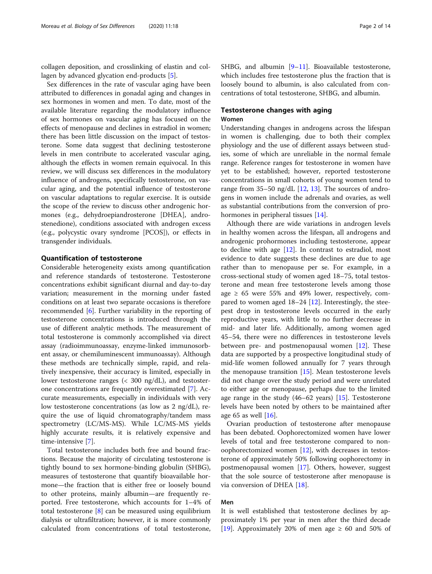collagen deposition, and crosslinking of elastin and collagen by advanced glycation end-products [[5\]](#page-9-0).

Sex differences in the rate of vascular aging have been attributed to differences in gonadal aging and changes in sex hormones in women and men. To date, most of the available literature regarding the modulatory influence of sex hormones on vascular aging has focused on the effects of menopause and declines in estradiol in women; there has been little discussion on the impact of testosterone. Some data suggest that declining testosterone levels in men contribute to accelerated vascular aging, although the effects in women remain equivocal. In this review, we will discuss sex differences in the modulatory influence of androgens, specifically testosterone, on vascular aging, and the potential influence of testosterone on vascular adaptations to regular exercise. It is outside the scope of the review to discuss other androgenic hormones (e.g., dehydroepiandrosterone [DHEA], androstenedione), conditions associated with androgen excess (e.g., polycystic ovary syndrome [PCOS]), or effects in transgender individuals.

## Quantification of testosterone

Considerable heterogeneity exists among quantification and reference standards of testosterone. Testosterone concentrations exhibit significant diurnal and day-to-day variation; measurement in the morning under fasted conditions on at least two separate occasions is therefore recommended  $[6]$  $[6]$ . Further variability in the reporting of testosterone concentrations is introduced through the use of different analytic methods. The measurement of total testosterone is commonly accomplished via direct assay (radioimmunoassay, enzyme-linked immunosorbent assay, or chemiluminescent immunoassay). Although these methods are technically simple, rapid, and relatively inexpensive, their accuracy is limited, especially in lower testosterone ranges (< 300 ng/dL), and testosterone concentrations are frequently overestimated [\[7](#page-9-0)]. Accurate measurements, especially in individuals with very low testosterone concentrations (as low as 2 ng/dL), require the use of liquid chromatography/tandem mass spectrometry (LC/MS-MS). While LC/MS-MS yields highly accurate results, it is relatively expensive and time-intensive [[7\]](#page-9-0).

Total testosterone includes both free and bound fractions. Because the majority of circulating testosterone is tightly bound to sex hormone-binding globulin (SHBG), measures of testosterone that quantify bioavailable hormone—the fraction that is either free or loosely bound to other proteins, mainly albumin—are frequently reported. Free testosterone, which accounts for 1–4% of total testosterone [\[8](#page-9-0)] can be measured using equilibrium dialysis or ultrafiltration; however, it is more commonly calculated from concentrations of total testosterone, SHBG, and albumin [\[9](#page-9-0)-[11\]](#page-9-0). Bioavailable testosterone, which includes free testosterone plus the fraction that is loosely bound to albumin, is also calculated from concentrations of total testosterone, SHBG, and albumin.

## Testosterone changes with aging Women

Understanding changes in androgens across the lifespan in women is challenging, due to both their complex physiology and the use of different assays between studies, some of which are unreliable in the normal female range. Reference ranges for testosterone in women have yet to be established; however, reported testosterone concentrations in small cohorts of young women tend to range from  $35-50$  ng/dL  $[12, 13]$  $[12, 13]$  $[12, 13]$  $[12, 13]$ . The sources of andro-

gens in women include the adrenals and ovaries, as well as substantial contributions from the conversion of pro-

hormones in peripheral tissues [[14\]](#page-10-0). Although there are wide variations in androgen levels in healthy women across the lifespan, all androgens and androgenic prohormones including testosterone, appear to decline with age  $[12]$ . In contrast to estradiol, most evidence to date suggests these declines are due to age rather than to menopause per se. For example, in a cross-sectional study of women aged 18–75, total testosterone and mean free testosterone levels among those age  $\geq 65$  were 55% and 49% lower, respectively, compared to women aged  $18-24$  [[12\]](#page-9-0). Interestingly, the steepest drop in testosterone levels occurred in the early reproductive years, with little to no further decrease in mid- and later life. Additionally, among women aged 45–54, there were no differences in testosterone levels between pre- and postmenopausal women [\[12\]](#page-9-0). These data are supported by a prospective longitudinal study of mid-life women followed annually for 7 years through the menopause transition [\[15](#page-10-0)]. Mean testosterone levels did not change over the study period and were unrelated to either age or menopause, perhaps due to the limited age range in the study  $(46-62 \text{ years})$  [[15](#page-10-0)]. Testosterone levels have been noted by others to be maintained after age 65 as well  $[16]$  $[16]$ .

Ovarian production of testosterone after menopause has been debated. Oophorectomized women have lower levels of total and free testosterone compared to nonoophorectomized women [[12\]](#page-9-0), with decreases in testosterone of approximately 50% following oophorectomy in postmenopausal women  $[17]$ . Others, however, suggest that the sole source of testosterone after menopause is via conversion of DHEA [[18](#page-10-0)].

## Men

It is well established that testosterone declines by approximately 1% per year in men after the third decade [[19\]](#page-10-0). Approximately 20% of men age  $\geq 60$  and 50% of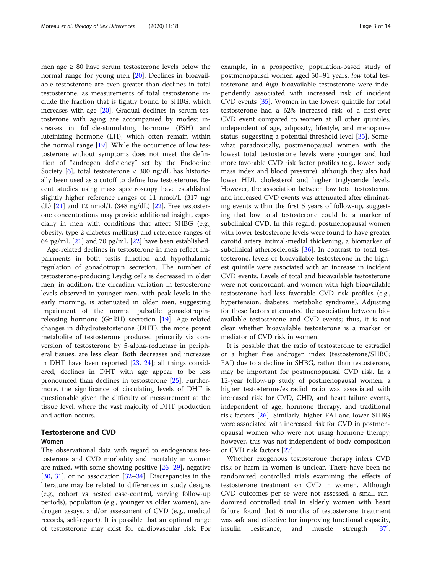men age  $\geq 80$  have serum testosterone levels below the normal range for young men [\[20\]](#page-10-0). Declines in bioavailable testosterone are even greater than declines in total testosterone, as measurements of total testosterone include the fraction that is tightly bound to SHBG, which increases with age  $[20]$  $[20]$  $[20]$ . Gradual declines in serum testosterone with aging are accompanied by modest increases in follicle-stimulating hormone (FSH) and luteinizing hormone (LH), which often remain within the normal range [[19\]](#page-10-0). While the occurrence of low testosterone without symptoms does not meet the definition of "androgen deficiency" set by the Endocrine Society  $[6]$  $[6]$ , total testosterone < 300 ng/dL has historically been used as a cutoff to define low testosterone. Recent studies using mass spectroscopy have established slightly higher reference ranges of 11 nmol/L (317 ng/ dL)  $[21]$  $[21]$  and 12 nmol/L (348 ng/dL)  $[22]$ . Free testosterone concentrations may provide additional insight, especially in men with conditions that affect SHBG (e.g., obesity, type 2 diabetes mellitus) and reference ranges of 64 pg/mL [[21\]](#page-10-0) and 70 pg/mL [[22\]](#page-10-0) have been established.

Age-related declines in testosterone in men reflect impairments in both testis function and hypothalamic regulation of gonadotropin secretion. The number of testosterone-producing Leydig cells is decreased in older men; in addition, the circadian variation in testosterone levels observed in younger men, with peak levels in the early morning, is attenuated in older men, suggesting impairment of the normal pulsatile gonadotropinreleasing hormone (GnRH) secretion [[19\]](#page-10-0). Age-related changes in dihydrotestosterone (DHT), the more potent metabolite of testosterone produced primarily via conversion of testosterone by 5-alpha-reductase in peripheral tissues, are less clear. Both decreases and increases in DHT have been reported [\[23](#page-10-0), [24](#page-10-0)]; all things considered, declines in DHT with age appear to be less pronounced than declines in testosterone [\[25](#page-10-0)]. Furthermore, the significance of circulating levels of DHT is questionable given the difficulty of measurement at the tissue level, where the vast majority of DHT production and action occurs.

## Testosterone and CVD

## Women

The observational data with regard to endogenous testosterone and CVD morbidity and mortality in women are mixed, with some showing positive  $[26-29]$  $[26-29]$  $[26-29]$  $[26-29]$ , negative  $[30, 31]$  $[30, 31]$  $[30, 31]$  $[30, 31]$  $[30, 31]$ , or no association  $[32-34]$  $[32-34]$  $[32-34]$  $[32-34]$ . Discrepancies in the literature may be related to differences in study designs (e.g., cohort vs nested case-control, varying follow-up periods), population (e.g., younger vs older women), androgen assays, and/or assessment of CVD (e.g., medical records, self-report). It is possible that an optimal range of testosterone may exist for cardiovascular risk. For example, in a prospective, population-based study of postmenopausal women aged 50–91 years, low total testosterone and high bioavailable testosterone were independently associated with increased risk of incident CVD events [\[35](#page-10-0)]. Women in the lowest quintile for total testosterone had a 62% increased risk of a first-ever CVD event compared to women at all other quintiles, independent of age, adiposity, lifestyle, and menopause status, suggesting a potential threshold level [[35\]](#page-10-0). Somewhat paradoxically, postmenopausal women with the lowest total testosterone levels were younger and had more favorable CVD risk factor profiles (e.g., lower body mass index and blood pressure), although they also had lower HDL cholesterol and higher triglyceride levels. However, the association between low total testosterone and increased CVD events was attenuated after eliminating events within the first 5 years of follow-up, suggesting that low total testosterone could be a marker of subclinical CVD. In this regard, postmenopausal women with lower testosterone levels were found to have greater carotid artery intimal-medial thickening, a biomarker of subclinical atherosclerosis [\[36](#page-10-0)]. In contrast to total testosterone, levels of bioavailable testosterone in the highest quintile were associated with an increase in incident CVD events. Levels of total and bioavailable testosterone were not concordant, and women with high bioavailable testosterone had less favorable CVD risk profiles (e.g., hypertension, diabetes, metabolic syndrome). Adjusting for these factors attenuated the association between bioavailable testosterone and CVD events; thus, it is not clear whether bioavailable testosterone is a marker or mediator of CVD risk in women.

It is possible that the ratio of testosterone to estradiol or a higher free androgen index (testosterone/SHBG; FAI) due to a decline in SHBG, rather than testosterone, may be important for postmenopausal CVD risk. In a 12-year follow-up study of postmenopausal women, a higher testosterone/estradiol ratio was associated with increased risk for CVD, CHD, and heart failure events, independent of age, hormone therapy, and traditional risk factors [[26\]](#page-10-0). Similarly, higher FAI and lower SHBG were associated with increased risk for CVD in postmenopausal women who were not using hormone therapy; however, this was not independent of body composition or CVD risk factors [\[27](#page-10-0)].

Whether exogenous testosterone therapy infers CVD risk or harm in women is unclear. There have been no randomized controlled trials examining the effects of testosterone treatment on CVD in women. Although CVD outcomes per se were not assessed, a small randomized controlled trial in elderly women with heart failure found that 6 months of testosterone treatment was safe and effective for improving functional capacity, insulin resistance, and muscle strength [\[37](#page-10-0)].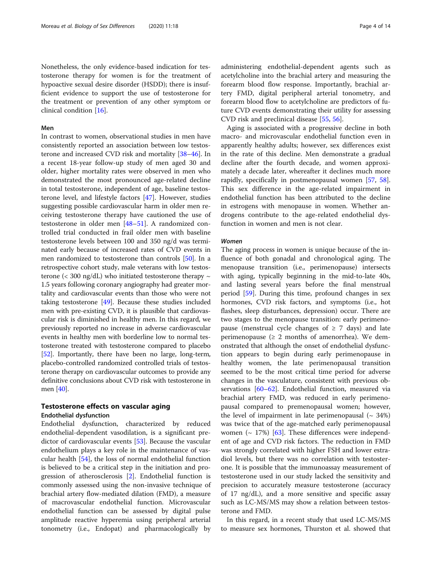Nonetheless, the only evidence-based indication for testosterone therapy for women is for the treatment of hypoactive sexual desire disorder (HSDD); there is insufficient evidence to support the use of testosterone for the treatment or prevention of any other symptom or clinical condition [[16](#page-10-0)].

## Men

In contrast to women, observational studies in men have consistently reported an association between low testosterone and increased CVD risk and mortality [[38](#page-10-0)–[46\]](#page-10-0). In a recent 18-year follow-up study of men aged 30 and older, higher mortality rates were observed in men who demonstrated the most pronounced age-related decline in total testosterone, independent of age, baseline testosterone level, and lifestyle factors [\[47](#page-10-0)]. However, studies suggesting possible cardiovascular harm in older men receiving testosterone therapy have cautioned the use of testosterone in older men [\[48](#page-10-0)–[51\]](#page-10-0). A randomized controlled trial conducted in frail older men with baseline testosterone levels between 100 and 350 ng/d was terminated early because of increased rates of CVD events in men randomized to testosterone than controls [\[50\]](#page-10-0). In a retrospective cohort study, male veterans with low testosterone ( $<$  300 ng/dL) who initiated testosterone therapy  $\sim$ 1.5 years following coronary angiography had greater mortality and cardiovascular events than those who were not taking testosterone [\[49\]](#page-10-0). Because these studies included men with pre-existing CVD, it is plausible that cardiovascular risk is diminished in healthy men. In this regard, we previously reported no increase in adverse cardiovascular events in healthy men with borderline low to normal testosterone treated with testosterone compared to placebo [[52](#page-10-0)]. Importantly, there have been no large, long-term, placebo-controlled randomized controlled trials of testosterone therapy on cardiovascular outcomes to provide any definitive conclusions about CVD risk with testosterone in men [\[40\]](#page-10-0).

## Testosterone effects on vascular aging Endothelial dysfunction

Endothelial dysfunction, characterized by reduced endothelial-dependent vasodilation, is a significant predictor of cardiovascular events [[53\]](#page-10-0). Because the vascular endothelium plays a key role in the maintenance of vascular health [[54](#page-10-0)], the loss of normal endothelial function is believed to be a critical step in the initiation and progression of atherosclerosis [\[2](#page-9-0)]. Endothelial function is commonly assessed using the non-invasive technique of brachial artery flow-mediated dilation (FMD), a measure of macrovascular endothelial function. Microvascular endothelial function can be assessed by digital pulse amplitude reactive hyperemia using peripheral arterial tonometry (i.e., Endopat) and pharmacologically by administering endothelial-dependent agents such as acetylcholine into the brachial artery and measuring the forearm blood flow response. Importantly, brachial artery FMD, digital peripheral arterial tonometry, and forearm blood flow to acetylcholine are predictors of future CVD events demonstrating their utility for assessing CVD risk and preclinical disease [[55,](#page-10-0) [56\]](#page-11-0).

Aging is associated with a progressive decline in both macro- and microvascular endothelial function even in apparently healthy adults; however, sex differences exist in the rate of this decline. Men demonstrate a gradual decline after the fourth decade, and women approximately a decade later, whereafter it declines much more rapidly, specifically in postmenopausal women [\[57](#page-11-0), [58](#page-11-0)]. This sex difference in the age-related impairment in endothelial function has been attributed to the decline in estrogens with menopause in women. Whether androgens contribute to the age-related endothelial dysfunction in women and men is not clear.

## Women

The aging process in women is unique because of the influence of both gonadal and chronological aging. The menopause transition (i.e., perimenopause) intersects with aging, typically beginning in the mid-to-late 40s, and lasting several years before the final menstrual period [\[59](#page-11-0)]. During this time, profound changes in sex hormones, CVD risk factors, and symptoms (i.e., hot flashes, sleep disturbances, depression) occur. There are two stages to the menopause transition: early perimenopause (menstrual cycle changes of  $\geq$  7 days) and late perimenopause ( $\geq 2$  months of amenorrhea). We demonstrated that although the onset of endothelial dysfunction appears to begin during early perimenopause in healthy women, the late perimenopausal transition seemed to be the most critical time period for adverse changes in the vasculature, consistent with previous ob-servations [[60](#page-11-0)–[62](#page-11-0)]. Endothelial function, measured via brachial artery FMD, was reduced in early perimenopausal compared to premenopausal women; however, the level of impairment in late perimenopausal  $({\sim} 34%)$ was twice that of the age-matched early perimenopausal women  $({\sim 17\%)}$  [[63\]](#page-11-0). These differences were independent of age and CVD risk factors. The reduction in FMD was strongly correlated with higher FSH and lower estradiol levels, but there was no correlation with testosterone. It is possible that the immunoassay measurement of testosterone used in our study lacked the sensitivity and precision to accurately measure testosterone (accuracy of 17 ng/dL), and a more sensitive and specific assay such as LC-MS/MS may show a relation between testosterone and FMD.

In this regard, in a recent study that used LC-MS/MS to measure sex hormones, Thurston et al. showed that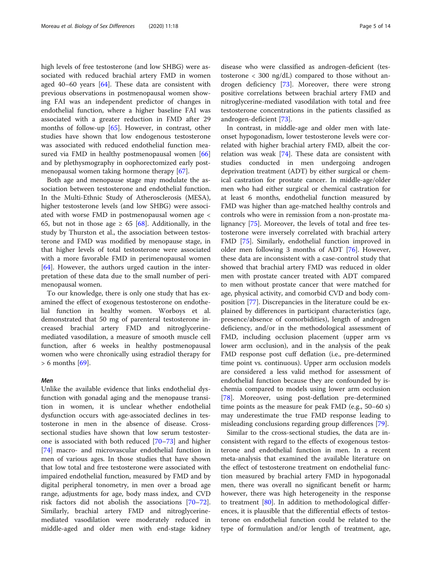high levels of free testosterone (and low SHBG) were associated with reduced brachial artery FMD in women aged 40–60 years  $[64]$  $[64]$ . These data are consistent with previous observations in postmenopausal women showing FAI was an independent predictor of changes in endothelial function, where a higher baseline FAI was associated with a greater reduction in FMD after 29 months of follow-up [[65](#page-11-0)]. However, in contrast, other studies have shown that low endogenous testosterone was associated with reduced endothelial function measured via FMD in healthy postmenopausal women [[66](#page-11-0)] and by plethysmography in oophorectomized early postmenopausal women taking hormone therapy [\[67](#page-11-0)].

Both age and menopause stage may modulate the association between testosterone and endothelial function. In the Multi-Ethnic Study of Atherosclerosis (MESA), higher testosterone levels (and low SHBG) were associated with worse FMD in postmenopausal women age < 65, but not in those age  $\geq$  65 [\[68\]](#page-11-0). Additionally, in the study by Thurston et al., the association between testosterone and FMD was modified by menopause stage, in that higher levels of total testosterone were associated with a more favorable FMD in perimenopausal women [[64\]](#page-11-0). However, the authors urged caution in the interpretation of these data due to the small number of perimenopausal women.

To our knowledge, there is only one study that has examined the effect of exogenous testosterone on endothelial function in healthy women. Worboys et al. demonstrated that 50 mg of parenteral testosterone increased brachial artery FMD and nitroglycerinemediated vasodilation, a measure of smooth muscle cell function, after 6 weeks in healthy postmenopausal women who were chronically using estradiol therapy for  $> 6$  months  $[69]$  $[69]$ .

#### Men

Unlike the available evidence that links endothelial dysfunction with gonadal aging and the menopause transition in women, it is unclear whether endothelial dysfunction occurs with age-associated declines in testosterone in men in the absence of disease. Crosssectional studies have shown that low serum testosterone is associated with both reduced [[70](#page-11-0)–[73](#page-11-0)] and higher [[74\]](#page-11-0) macro- and microvascular endothelial function in men of various ages. In those studies that have shown that low total and free testosterone were associated with impaired endothelial function, measured by FMD and by digital peripheral tonometry, in men over a broad age range, adjustments for age, body mass index, and CVD risk factors did not abolish the associations [[70](#page-11-0)–[72](#page-11-0)]. Similarly, brachial artery FMD and nitroglycerinemediated vasodilation were moderately reduced in middle-aged and older men with end-stage kidney disease who were classified as androgen-deficient (testosterone < 300 ng/dL) compared to those without androgen deficiency [[73\]](#page-11-0). Moreover, there were strong positive correlations between brachial artery FMD and nitroglycerine-mediated vasodilation with total and free testosterone concentrations in the patients classified as androgen-deficient [[73\]](#page-11-0).

In contrast, in middle-age and older men with lateonset hypogonadism, lower testosterone levels were correlated with higher brachial artery FMD, albeit the correlation was weak [\[74\]](#page-11-0). These data are consistent with studies conducted in men undergoing androgen deprivation treatment (ADT) by either surgical or chemical castration for prostate cancer. In middle-age/older men who had either surgical or chemical castration for at least 6 months, endothelial function measured by FMD was higher than age-matched healthy controls and controls who were in remission from a non-prostate malignancy [\[75](#page-11-0)]. Moreover, the levels of total and free testosterone were inversely correlated with brachial artery FMD [\[75](#page-11-0)]. Similarly, endothelial function improved in older men following 3 months of ADT [\[76](#page-11-0)]. However, these data are inconsistent with a case-control study that showed that brachial artery FMD was reduced in older men with prostate cancer treated with ADT compared to men without prostate cancer that were matched for age, physical activity, and comorbid CVD and body composition [[77\]](#page-11-0). Discrepancies in the literature could be explained by differences in participant characteristics (age, presence/absence of comorbidities), length of androgen deficiency, and/or in the methodological assessment of FMD, including occlusion placement (upper arm vs lower arm occlusion), and in the analysis of the peak FMD response post cuff deflation (i.e., pre-determined time point vs. continuous). Upper arm occlusion models are considered a less valid method for assessment of endothelial function because they are confounded by ischemia compared to models using lower arm occlusion [[78\]](#page-11-0). Moreover, using post-deflation pre-determined time points as the measure for peak FMD (e.g., 50–60 s) may underestimate the true FMD response leading to misleading conclusions regarding group differences [[79\]](#page-11-0).

Similar to the cross-sectional studies, the data are inconsistent with regard to the effects of exogenous testosterone and endothelial function in men. In a recent meta-analysis that examined the available literature on the effect of testosterone treatment on endothelial function measured by brachial artery FMD in hypogonadal men, there was overall no significant benefit or harm; however, there was high heterogeneity in the response to treatment [\[80](#page-11-0)]. In addition to methodological differences, it is plausible that the differential effects of testosterone on endothelial function could be related to the type of formulation and/or length of treatment, age,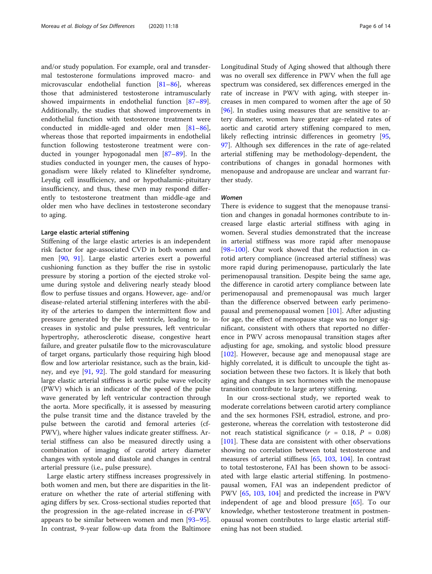and/or study population. For example, oral and transdermal testosterone formulations improved macro- and microvascular endothelial function [\[81](#page-11-0)–[86\]](#page-11-0), whereas those that administered testosterone intramuscularly showed impairments in endothelial function [[87](#page-11-0)–[89](#page-11-0)]. Additionally, the studies that showed improvements in endothelial function with testosterone treatment were conducted in middle-aged and older men [[81](#page-11-0)–[86](#page-11-0)], whereas those that reported impairments in endothelial function following testosterone treatment were conducted in younger hypogonadal men [[87](#page-11-0)–[89](#page-11-0)]. In the studies conducted in younger men, the causes of hypogonadism were likely related to Klinefelter syndrome, Leydig cell insufficiency, and or hypothalamic-pituitary insufficiency, and thus, these men may respond differently to testosterone treatment than middle-age and older men who have declines in testosterone secondary to aging.

## Large elastic arterial stiffening

Stiffening of the large elastic arteries is an independent risk factor for age-associated CVD in both women and men [[90,](#page-11-0) [91](#page-11-0)]. Large elastic arteries exert a powerful cushioning function as they buffer the rise in systolic pressure by storing a portion of the ejected stroke volume during systole and delivering nearly steady blood flow to perfuse tissues and organs. However, age- and/or disease-related arterial stiffening interferes with the ability of the arteries to dampen the intermittent flow and pressure generated by the left ventricle, leading to increases in systolic and pulse pressures, left ventricular hypertrophy, atherosclerotic disease, congestive heart failure, and greater pulsatile flow to the microvasculature of target organs, particularly those requiring high blood flow and low arteriolar resistance, such as the brain, kidney, and eye [\[91](#page-11-0), [92](#page-11-0)]. The gold standard for measuring large elastic arterial stiffness is aortic pulse wave velocity (PWV) which is an indicator of the speed of the pulse wave generated by left ventricular contraction through the aorta. More specifically, it is assessed by measuring the pulse transit time and the distance traveled by the pulse between the carotid and femoral arteries (cf-PWV), where higher values indicate greater stiffness. Arterial stiffness can also be measured directly using a combination of imaging of carotid artery diameter changes with systole and diastole and changes in central arterial pressure (i.e., pulse pressure).

Large elastic artery stiffness increases progressively in both women and men, but there are disparities in the literature on whether the rate of arterial stiffening with aging differs by sex. Cross-sectional studies reported that the progression in the age-related increase in cf-PWV appears to be similar between women and men [[93](#page-11-0)–[95](#page-11-0)]. In contrast, 9-year follow-up data from the Baltimore Longitudinal Study of Aging showed that although there was no overall sex difference in PWV when the full age spectrum was considered, sex differences emerged in the rate of increase in PWV with aging, with steeper increases in men compared to women after the age of 50 [[96\]](#page-11-0). In studies using measures that are sensitive to artery diameter, women have greater age-related rates of aortic and carotid artery stiffening compared to men, likely reflecting intrinsic differences in geometry [[95](#page-11-0), [97\]](#page-11-0). Although sex differences in the rate of age-related arterial stiffening may be methodology-dependent, the contributions of changes in gonadal hormones with menopause and andropause are unclear and warrant further study.

## Women

There is evidence to suggest that the menopause transition and changes in gonadal hormones contribute to increased large elastic arterial stiffness with aging in women. Several studies demonstrated that the increase in arterial stiffness was more rapid after menopause [[98](#page-11-0)–[100](#page-12-0)]. Our work showed that the reduction in carotid artery compliance (increased arterial stiffness) was more rapid during perimenopause, particularly the late perimenopausal transition. Despite being the same age, the difference in carotid artery compliance between late perimenopausal and premenopausal was much larger than the difference observed between early perimenopausal and premenopausal women [[101\]](#page-12-0). After adjusting for age, the effect of menopause stage was no longer significant, consistent with others that reported no difference in PWV across menopausal transition stages after adjusting for age, smoking, and systolic blood pressure [[102\]](#page-12-0). However, because age and menopausal stage are highly correlated, it is difficult to uncouple the tight association between these two factors. It is likely that both aging and changes in sex hormones with the menopause transition contribute to large artery stiffening.

In our cross-sectional study, we reported weak to moderate correlations between carotid artery compliance and the sex hormones FSH, estradiol, estrone, and progesterone, whereas the correlation with testosterone did not reach statistical significance ( $r = 0.18$ ,  $P = 0.08$ ) [[101\]](#page-12-0). These data are consistent with other observations showing no correlation between total testosterone and measures of arterial stiffness [[65](#page-11-0), [103](#page-12-0), [104](#page-12-0)]. In contrast to total testosterone, FAI has been shown to be associated with large elastic arterial stiffening. In postmenopausal women, FAI was an independent predictor of PWV [[65,](#page-11-0) [103,](#page-12-0) [104](#page-12-0)] and predicted the increase in PWV independent of age and blood pressure [\[65](#page-11-0)]. To our knowledge, whether testosterone treatment in postmenopausal women contributes to large elastic arterial stiffening has not been studied.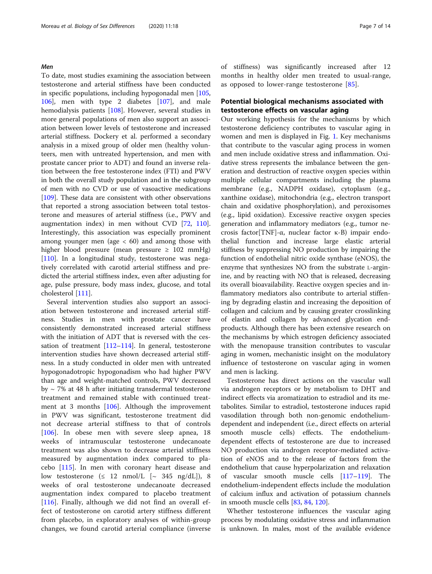#### Men

To date, most studies examining the association between testosterone and arterial stiffness have been conducted in specific populations, including hypogonadal men [[105](#page-12-0), [106](#page-12-0)], men with type 2 diabetes [[107](#page-12-0)], and male hemodialysis patients [\[108\]](#page-12-0). However, several studies in more general populations of men also support an association between lower levels of testosterone and increased arterial stiffness. Dockery et al. performed a secondary analysis in a mixed group of older men (healthy volunteers, men with untreated hypertension, and men with prostate cancer prior to ADT) and found an inverse relation between the free testosterone index (FTI) and PWV in both the overall study population and in the subgroup of men with no CVD or use of vasoactive medications [[109\]](#page-12-0). These data are consistent with other observations that reported a strong association between total testosterone and measures of arterial stiffness (i.e., PWV and augmentation index) in men without CVD [[72,](#page-11-0) [110](#page-12-0)]. Interestingly, this association was especially prominent among younger men (age  $< 60$ ) and among those with higher blood pressure (mean pressure  $\geq 102$  mmHg) [[110\]](#page-12-0). In a longitudinal study, testosterone was negatively correlated with carotid arterial stiffness and predicted the arterial stiffness index, even after adjusting for age, pulse pressure, body mass index, glucose, and total cholesterol [\[111](#page-12-0)].

Several intervention studies also support an association between testosterone and increased arterial stiffness. Studies in men with prostate cancer have consistently demonstrated increased arterial stiffness with the initiation of ADT that is reversed with the cessation of treatment [\[112](#page-12-0)–[114](#page-12-0)]. In general, testosterone intervention studies have shown decreased arterial stiffness. In a study conducted in older men with untreated hypogonadotropic hypogonadism who had higher PWV than age and weight-matched controls, PWV decreased by  $\sim$  7% at 48 h after initiating transdermal testosterone treatment and remained stable with continued treatment at 3 months [\[106](#page-12-0)]. Although the improvement in PWV was significant, testosterone treatment did not decrease arterial stiffness to that of controls [[106\]](#page-12-0). In obese men with severe sleep apnea, 18 weeks of intramuscular testosterone undecanoate treatment was also shown to decrease arterial stiffness measured by augmentation index compared to placebo [[115\]](#page-12-0). In men with coronary heart disease and low testosterone ( $\leq 12$  nmol/L [ $\sim 345$  ng/dL]), 8 weeks of oral testosterone undecanoate decreased augmentation index compared to placebo treatment [[116\]](#page-12-0). Finally, although we did not find an overall effect of testosterone on carotid artery stiffness different from placebo, in exploratory analyses of within-group changes, we found carotid arterial compliance (inverse of stiffness) was significantly increased after 12 months in healthy older men treated to usual-range, as opposed to lower-range testosterone [[85\]](#page-11-0).

## Potential biological mechanisms associated with testosterone effects on vascular aging

Our working hypothesis for the mechanisms by which testosterone deficiency contributes to vascular aging in women and men is displayed in Fig. [1.](#page-7-0) Key mechanisms that contribute to the vascular aging process in women and men include oxidative stress and inflammation. Oxidative stress represents the imbalance between the generation and destruction of reactive oxygen species within multiple cellular compartments including the plasma membrane (e.g., NADPH oxidase), cytoplasm (e.g., xanthine oxidase), mitochondria (e.g., electron transport chain and oxidative phosphorylation), and peroxisomes (e.g., lipid oxidation). Excessive reactive oxygen species generation and inflammatory mediators (e.g., tumor necrosis factor[TNF]-α, nuclear factor κ-B) impair endothelial function and increase large elastic arterial stiffness by suppressing NO production by impairing the function of endothelial nitric oxide synthase (eNOS), the enzyme that synthesizes NO from the substrate L-arginine, and by reacting with NO that is released, decreasing its overall bioavailability. Reactive oxygen species and inflammatory mediators also contribute to arterial stiffening by degrading elastin and increasing the deposition of collagen and calcium and by causing greater crosslinking of elastin and collagen by advanced glycation endproducts. Although there has been extensive research on the mechanisms by which estrogen deficiency associated with the menopause transition contributes to vascular aging in women, mechanistic insight on the modulatory influence of testosterone on vascular aging in women and men is lacking.

Testosterone has direct actions on the vascular wall via androgen receptors or by metabolism to DHT and indirect effects via aromatization to estradiol and its metabolites. Similar to estradiol, testosterone induces rapid vasodilation through both non-genomic endotheliumdependent and independent (i.e., direct effects on arterial smooth muscle cells) effects. The endotheliumdependent effects of testosterone are due to increased NO production via androgen receptor-mediated activation of eNOS and to the release of factors from the endothelium that cause hyperpolarization and relaxation of vascular smooth muscle cells [\[117](#page-12-0)–[119\]](#page-12-0). The endothelium-independent effects include the modulation of calcium influx and activation of potassium channels in smooth muscle cells [[83](#page-11-0), [84](#page-11-0), [120](#page-12-0)].

Whether testosterone influences the vascular aging process by modulating oxidative stress and inflammation is unknown. In males, most of the available evidence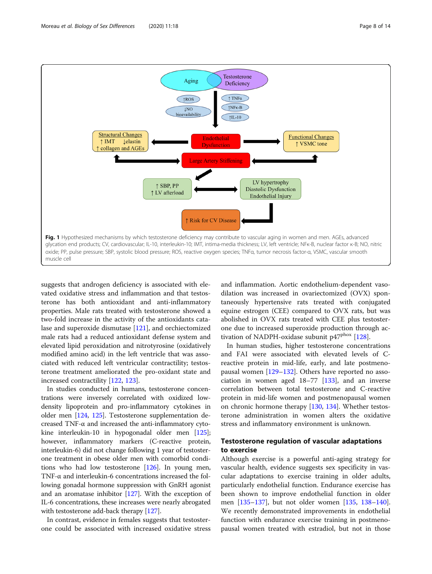<span id="page-7-0"></span>

suggests that androgen deficiency is associated with elevated oxidative stress and inflammation and that testosterone has both antioxidant and anti-inflammatory properties. Male rats treated with testosterone showed a two-fold increase in the activity of the antioxidants catalase and superoxide dismutase [[121\]](#page-12-0), and orchiectomized male rats had a reduced antioxidant defense system and elevated lipid peroxidation and nitrotyrosine (oxidatively modified amino acid) in the left ventricle that was associated with reduced left ventricular contractility; testosterone treatment ameliorated the pro-oxidant state and increased contractility [[122,](#page-12-0) [123](#page-12-0)].

In studies conducted in humans, testosterone concentrations were inversely correlated with oxidized lowdensity lipoprotein and pro-inflammatory cytokines in older men [\[124,](#page-12-0) [125](#page-12-0)]. Testosterone supplementation decreased TNF-α and increased the anti-inflammatory cytokine interleukin-10 in hypogonadal older men [[125](#page-12-0)]; however, inflammatory markers (C-reactive protein, interleukin-6) did not change following 1 year of testosterone treatment in obese older men with comorbid conditions who had low testosterone [\[126\]](#page-12-0). In young men, TNF-α and interleukin-6 concentrations increased the following gonadal hormone suppression with GnRH agonist and an aromatase inhibitor [\[127\]](#page-12-0). With the exception of IL-6 concentrations, these increases were nearly abrogated with testosterone add-back therapy [[127](#page-12-0)].

In contrast, evidence in females suggests that testosterone could be associated with increased oxidative stress

and inflammation. Aortic endothelium-dependent vasodilation was increased in ovariectomized (OVX) spontaneously hypertensive rats treated with conjugated equine estrogen (CEE) compared to OVX rats, but was abolished in OVX rats treated with CEE plus testosterone due to increased superoxide production through ac-tivation of NADPH-oxidase subunit p47<sup>phox</sup> [[128\]](#page-12-0).

In human studies, higher testosterone concentrations and FAI were associated with elevated levels of Creactive protein in mid-life, early, and late postmenopausal women [[129](#page-12-0)–[132](#page-12-0)]. Others have reported no association in women aged  $18-77$  [ $133$ ], and an inverse correlation between total testosterone and C-reactive protein in mid-life women and postmenopausal women on chronic hormone therapy [\[130](#page-12-0), [134\]](#page-12-0). Whether testosterone administration in women alters the oxidative stress and inflammatory environment is unknown.

## Testosterone regulation of vascular adaptations to exercise

Although exercise is a powerful anti-aging strategy for vascular health, evidence suggests sex specificity in vascular adaptations to exercise training in older adults, particularly endothelial function. Endurance exercise has been shown to improve endothelial function in older men [[135](#page-12-0)–[137](#page-12-0)], but not older women [\[135](#page-12-0), [138](#page-12-0)–[140](#page-12-0)]. We recently demonstrated improvements in endothelial function with endurance exercise training in postmenopausal women treated with estradiol, but not in those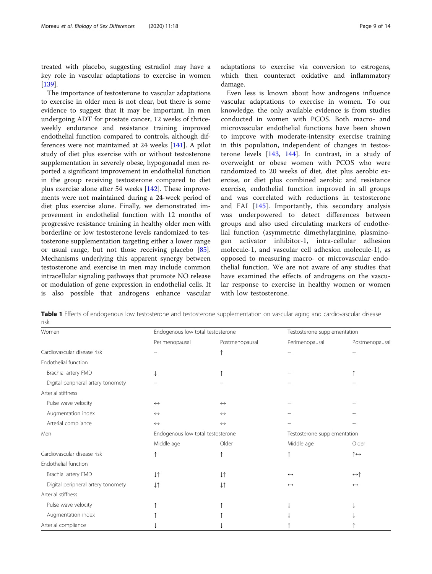<span id="page-8-0"></span>treated with placebo, suggesting estradiol may have a key role in vascular adaptations to exercise in women [[139\]](#page-12-0).

The importance of testosterone to vascular adaptations to exercise in older men is not clear, but there is some evidence to suggest that it may be important. In men undergoing ADT for prostate cancer, 12 weeks of thriceweekly endurance and resistance training improved endothelial function compared to controls, although differences were not maintained at 24 weeks [[141\]](#page-12-0). A pilot study of diet plus exercise with or without testosterone supplementation in severely obese, hypogonadal men reported a significant improvement in endothelial function in the group receiving testosterone compared to diet plus exercise alone after 54 weeks [[142](#page-12-0)]. These improvements were not maintained during a 24-week period of diet plus exercise alone. Finally, we demonstrated improvement in endothelial function with 12 months of progressive resistance training in healthy older men with borderline or low testosterone levels randomized to testosterone supplementation targeting either a lower range or usual range, but not those receiving placebo [\[85](#page-11-0)]. Mechanisms underlying this apparent synergy between testosterone and exercise in men may include common intracellular signaling pathways that promote NO release or modulation of gene expression in endothelial cells. It is also possible that androgens enhance vascular

adaptations to exercise via conversion to estrogens, which then counteract oxidative and inflammatory damage.

Even less is known about how androgens influence vascular adaptations to exercise in women. To our knowledge, the only available evidence is from studies conducted in women with PCOS. Both macro- and microvascular endothelial functions have been shown to improve with moderate-intensity exercise training in this population, independent of changes in testosterone levels [[143,](#page-13-0) [144](#page-13-0)]. In contrast, in a study of overweight or obese women with PCOS who were randomized to 20 weeks of diet, diet plus aerobic exercise, or diet plus combined aerobic and resistance exercise, endothelial function improved in all groups and was correlated with reductions in testosterone and FAI [[145\]](#page-13-0). Importantly, this secondary analysis was underpowered to detect differences between groups and also used circulating markers of endothelial function (asymmetric dimethylarginine, plasminogen activator inhibitor-1, intra-cellular adhesion molecule-1, and vascular cell adhesion molecule-1), as opposed to measuring macro- or microvascular endothelial function. We are not aware of any studies that have examined the effects of androgens on the vascular response to exercise in healthy women or women with low testosterone.

Table 1 Effects of endogenous low testosterone and testosterone supplementation on vascular aging and cardiovascular disease risk

| Women                              | Endogenous low total testosterone |                   | Testosterone supplementation |                   |
|------------------------------------|-----------------------------------|-------------------|------------------------------|-------------------|
|                                    | Perimenopausal                    | Postmenopausal    | Perimenopausal               | Postmenopausal    |
| Cardiovascular disease risk        |                                   |                   |                              |                   |
| Endothelial function               |                                   |                   |                              |                   |
| Brachial artery FMD                |                                   |                   |                              |                   |
| Digital peripheral artery tonomety |                                   |                   |                              |                   |
| Arterial stiffness                 |                                   |                   |                              |                   |
| Pulse wave velocity                | $\leftrightarrow$                 | $\leftrightarrow$ |                              |                   |
| Augmentation index                 | $\leftrightarrow$                 | $\leftrightarrow$ |                              |                   |
| Arterial compliance                | $\leftrightarrow$                 | $\leftrightarrow$ |                              |                   |
| Men                                | Endogenous low total testosterone |                   | Testosterone supplementation |                   |
|                                    | Middle age                        | Older             | Middle age                   | Older             |
| Cardiovascular disease risk        |                                   |                   |                              | ↑↔                |
| Endothelial function               |                                   |                   |                              |                   |
| Brachial artery FMD                | $\downarrow \uparrow$             | ↓↑                | $\leftrightarrow$            | ↔↑                |
| Digital peripheral artery tonomety | T,                                | ↓↑                | $\leftrightarrow$            | $\leftrightarrow$ |
| Arterial stiffness                 |                                   |                   |                              |                   |
| Pulse wave velocity                |                                   |                   |                              |                   |
| Augmentation index                 |                                   |                   |                              |                   |
| Arterial compliance                |                                   |                   |                              |                   |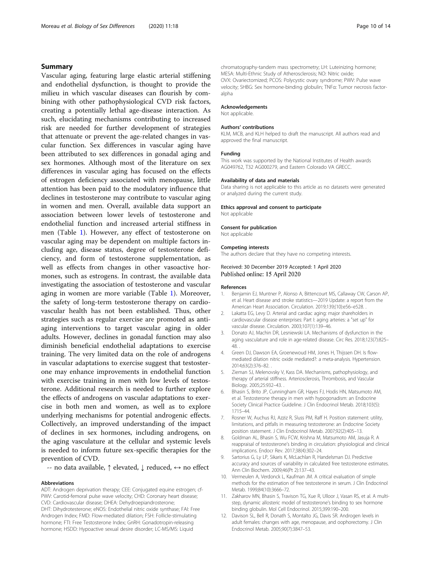## <span id="page-9-0"></span>Summary

Vascular aging, featuring large elastic arterial stiffening and endothelial dysfunction, is thought to provide the milieu in which vascular diseases can flourish by combining with other pathophysiological CVD risk factors, creating a potentially lethal age-disease interaction. As such, elucidating mechanisms contributing to increased risk are needed for further development of strategies that attenuate or prevent the age-related changes in vascular function. Sex differences in vascular aging have been attributed to sex differences in gonadal aging and sex hormones. Although most of the literature on sex differences in vascular aging has focused on the effects of estrogen deficiency associated with menopause, little attention has been paid to the modulatory influence that declines in testosterone may contribute to vascular aging in women and men. Overall, available data support an association between lower levels of testosterone and endothelial function and increased arterial stiffness in men (Table [1\)](#page-8-0). However, any effect of testosterone on vascular aging may be dependent on multiple factors including age, disease status, degree of testosterone deficiency, and form of testosterone supplementation, as well as effects from changes in other vasoactive hormones, such as estrogens. In contrast, the available data investigating the association of testosterone and vascular aging in women are more variable (Table [1](#page-8-0)). Moreover, the safety of long-term testosterone therapy on cardiovascular health has not been established. Thus, other strategies such as regular exercise are promoted as antiaging interventions to target vascular aging in older adults. However, declines in gonadal function may also diminish beneficial endothelial adaptations to exercise training. The very limited data on the role of androgens in vascular adaptations to exercise suggest that testosterone may enhance improvements in endothelial function with exercise training in men with low levels of testosterone. Additional research is needed to further explore the effects of androgens on vascular adaptations to exercise in both men and women, as well as to explore underlying mechanisms for potential androgenic effects. Collectively, an improved understanding of the impact of declines in sex hormones, including androgens, on the aging vasculature at the cellular and systemic levels is needed to inform future sex-specific therapies for the prevention of CVD.

-- no data available, ↑ elevated, ↓ reduced, ↔ no effect

#### Abbreviations

chromatography-tandem mass spectrometry; LH: Luteinizing hormone; MESA: Multi-Ethnic Study of Atherosclerosis; NO: Nitric oxide; OVX: Ovariectomized; PCOS: Polycystic ovary syndrome; PWV: Pulse wave velocity; SHBG: Sex hormone-binding globulin; TNFα: Tumor necrosis factoralpha

#### Acknowledgements

Not applicable.

#### Authors' contributions

KLM, MCB, and KLH helped to draft the manuscript. All authors read and approved the final manuscript.

#### Funding

This work was supported by the National Institutes of Health awards AG049762, T32 AG000279, and Eastern Colorado VA GRECC.

#### Availability of data and materials

Data sharing is not applicable to this article as no datasets were generated or analyzed during the current study.

### Ethics approval and consent to participate

Not applicable

#### Consent for publication

Not applicable

#### Competing interests

The authors declare that they have no competing interests.

## Received: 30 December 2019 Accepted: 1 April 2020 Published online: 15 April 2020

#### References

- 1. Benjamin EJ, Muntner P, Alonso A, Bittencourt MS, Callaway CW, Carson AP, et al. Heart disease and stroke statistics—2019 Update: a report from the American Heart Association. Circulation. 2019;139;(10):e56–e528. .
- 2. Lakatta EG, Levy D. Arterial and cardiac aging: major shareholders in cardiovascular disease enterprises: Part I: aging arteries: a "set up" for vascular disease. Circulation. 2003;107(1):139–46.
- 3. Donato AJ, Machin DR, Lesniewski LA. Mechanisms of dysfunction in the aging vasculature and role in age-related disease. Circ Res. 2018;123(7):825– 48. .
- 4. Green DJ, Dawson EA, Groenewoud HM, Jones H, Thijssen DH. Is flowmediated dilation nitric oxide mediated?: a meta-analysis. Hypertension. 2014;63(2):376–82. .
- 5. Zieman SJ, Melenovsky V, Kass DA. Mechanisms, pathophysiology, and therapy of arterial stiffness. Arteriosclerosis, Thrombosis, and Vascular Biology. 2005;25:932–43. .
- 6. Bhasin S, Brito JP, Cunningham GR, Hayes FJ, Hodis HN, Matsumoto AM, et al. Testosterone therapy in men with hypogonadism: an Endocrine Society Clinical Practice Guideline. J Clin Endocrinol Metab. 2018;103(5): 1715–44.
- 7. Rosner W, Auchus RJ, Azziz R, Sluss PM, Raff H. Position statement: utility, limitations, and pitfalls in measuring testosterone: an Endocrine Society position statement. J Clin Endocrinol Metab. 2007;92(2):405–13.
- 8. Goldman AL, Bhasin S, Wu FCW, Krishna M, Matsumoto AM, Jasuja R. A reappraisal of testosterone's binding in circulation: physiological and clinical implications. Endocr Rev. 2017;38(4):302–24.
- 9. Sartorius G, Ly LP, Sikaris K, McLachlan R, Handelsman DJ. Predictive accuracy and sources of variability in calculated free testosterone estimates. Ann Clin Biochem. 2009;46(Pt 2):137–43.
- 10. Vermeulen A, Verdonck L, Kaufman JM. A critical evaluation of simple methods for the estimation of free testosterone in serum. J Clin Endocrinol Metab. 1999;84(10):3666–72.
- 11. Zakharov MN, Bhasin S, Travison TG, Xue R, Ulloor J, Vasan RS, et al. A multistep, dynamic allosteric model of testosterone's binding to sex hormone binding globulin. Mol Cell Endocrinol. 2015;399:190–200.
- 12. Davison SL, Bell R, Donath S, Montalto JG, Davis SR. Androgen levels in adult females: changes with age, menopause, and oophorectomy. J Clin Endocrinol Metab. 2005;90(7):3847–53.

ADT: Androgen deprivation therapy; CEE: Conjugated equine estrogen; cf-PWV: Carotid-femoral pulse wave velocity; CHD: Coronary heart disease; CVD: Cardiovascular disease; DHEA: Dehydroepiandrosterone; DHT: Dihydrotesterone; eNOS: Endothelial nitric oxide synthase; FAI: Free Androgen Index; FMD: Flow-mediated dilation; FSH: Follicle-stimulating hormone; FTI: Free Testosterone Index; GnRH: Gonadotropin-releasing hormone; HSDD: Hypoactive sexual desire disorder; LC-MS/MS: Liquid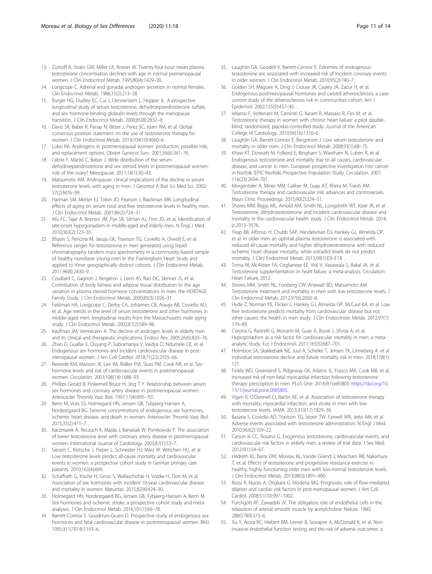- <span id="page-10-0"></span>13. Zumoff B, Strain GW, Miller LK, Rosner W. Twenty-four-hour mean plasma testosterone concentration declines with age in normal premenopausal women. J Clin Endocrinol Metab. 1995;80(4):1429–30.
- 14. Longcope C. Adrenal and gonadal androgen secretion in normal females. Clin Endocrinol Metab. 1986;15(2):213–28.
- 15. Burger HG, Dudley EC, Cui J, Dennerstein L, Hopper JL. A prospective longitudinal study of serum testosterone, dehydroepiandrosterone sulfate, and sex hormone-binding globulin levels through the menopause transition. J Clin Endocrinol Metab. 2000;85(8):2832–8.
- 16. Davis SR, Baber R, Panay N, Bitzer J, Perez SC, Islam RM, et al. Global consensus position statement on the use of testosterone therapy for women. J Clin Endocrinol Metab. 2019;104(10):4660–6.
- 17. Lobo RA. Androgens in postmenopausal women: production, possible role, and replacement options. Obstet Gynecol Surv. 2001;56(6):361–76.
- 18. Labrie F, Martel C, Balser J. Wide distribution of the serum dehydroepiandrosterone and sex steroid levels in postmenopausal women: role of the ovary? Menopause. 2011;18(1):30–43.
- 19. Matsumoto AM. Andropause: clinical implications of the decline in serum testosterone levels with aging in men. J Gerontol A Biol Sci Med Sci. 2002; 57(2):M76–99. .
- 20. Harman SM, Metter EJ, Tobin JD, Pearson J, Blackman MR. Longitudinal effects of aging on serum total and free testosterone levels in healthy men. J Clin Endocrinol Metab. 2001;86(2):724–31.
- 21. Wu FC, Tajar A, Beynon JM, Pye SR, Silman AJ, Finn JD, et al. Identification of late-onset hypogonadism in middle-aged and elderly men. N Engl J Med. 2010;363(2):123–35.
- 22. Bhasin S, Pencina M, Jasuja GK, Travison TG, Coviello A, Orwoll E, et al. Reference ranges for testosterone in men generated using liquid chromatography tandem mass spectrometry in a community-based sample of healthy nonobese young men in the Framingham Heart Study and applied to three geographically distinct cohorts. J Clin Endocrinol Metab. 2011;96(8):2430–9. .
- 23. Couillard C, Gagnon J, Bergeron J, Leon AS, Rao DC, Skinner JS, et al. Contribution of body fatness and adipose tissue distribution to the age variation in plasma steroid hormone concentrations in men: the HERITAGE Family Study. J Clin Endocrinol Metab. 2000;85(3):1026–31.
- 24. Feldman HA, Longcope C, Derby CA, Johannes CB, Araujo AB, Coviello AD, et al. Age trends in the level of serum testosterone and other hormones in middle-aged men: longitudinal results from the Massachusetts male aging study. J Clin Endocrinol Metab. 2002;87(2):589–98.
- 25. Kaufman JM, Vermeulen A. The decline of androgen levels in elderly men and its clinical and therapeutic implications. Endocr Rev. 2005;26(6):833–76.
- 26. Zhao D, Guallar E, Ouyang P, Subramanya V, Vaidya D, Ndumele CE, et al. Endogenous sex hormones and incident cardiovascular disease in postmenopausal women. J Am Coll Cardiol. 2018;71(22):2555–66.
- 27. Rexrode KM, Manson JE, Lee IM, Ridker PM, Sluss PM, Cook NR, et al. Sex hormone levels and risk of cardiovascular events in postmenopausal women. Circulation. 2003;108(14):1688–93.
- 28. Phillips Gerald B, Pinkernell Bruce H, Jing T-Y. Relationship between serum sex hormones and coronary artery disease in postmenopausal women. Arterioscler Thromb Vasc Biol. 1997;17(4):695–701.
- 29. Benn M, Voss SS, Holmegard HN, Jensen GB, Tybjaerg-Hansen A, Nordestgaard BG. Extreme concentrations of endogenous sex hormones, ischemic heart disease, and death in women. Arterioscler Thromb Vasc Biol. 2015;35(2):471–7. .
- 30. Kaczmarek A, Reczuch K, Majda J, Banasiak W, Ponikowski P. The association of lower testosterone level with coronary artery disease in postmenopausal women. International Journal of Cardiology. 2003;87(1):53–7.
- 31. Sievers C, Klotsche J, Pieper L, Schneider HJ, März W, Wittchen HU, et al. Low testosterone levels predict all-cause mortality and cardiovascular events in women: a prospective cohort study in German primary care patients. 2010;163(4):699.
- 32. Schaffrath G, Kische H, Gross S, Wallaschofski H, Volzke H, Dorr M, et al. Association of sex hormones with incident 10-year cardiovascular disease and mortality in women. Maturitas. 2015;82(4):424–30.
- 33. Holmegard HN, Nordestgaard BG, Jensen GB, Tybjaerg-Hansen A, Benn M. Sex hormones and ischemic stroke: a prospective cohort study and metaanalyses. J Clin Endocrinol Metab. 2016;101(1):69–78.
- 34. Barrett-Connor E, Goodman-Gruen D. Prospective study of endogenous sex hormones and fatal cardiovascular disease in postmenopausal women. BMJ. 1995;311(7014):1193–6.
- 35. Laughlin GA, Goodell V, Barrett-Connor E. Extremes of endogenous testosterone are associated with increased risk of incident coronary events in older women. J Clin Endocrinol Metab. 2010;95(2):740–7.
- 36. Golden SH, Maguire A, Ding J, Crouse JR, Cauley JA, Zacur H, et al. Endogenous postmenopausal hormones and carotid atherosclerosis: a casecontrol study of the atherosclerosis risk in communities cohort. Am J Epidemiol. 2002;155(5):437–45. .
- 37. Iellamo F, Volterrani M, Caminiti G, Karam R, Massaro R, Fini M, et al. Testosterone therapy in women with chronic heart failure: a pilot doubleblind, randomized, placebo-controlled study. Journal of the American College of Cardiology. 2010;56(16):1310–6.
- 38. Laughlin GA, Barrett-Connor E, Bergstrom J. Low serum testosterone and mortality in older men. J Clin Endocrinol Metab. 2008;93(1):68–75.
- 39. Khaw KT, Dowsett M, Folkerd E, Bingham S, Wareham N, Luben R, et al. Endogenous testosterone and mortality due to all causes, cardiovascular disease, and cancer in men: European prospective investigation into cancer in Norfolk (EPIC-Norfolk) Prospective Population Study. Circulation. 2007; 116(23):2694–701.
- 40. Morgentaler A, Miner MM, Caliber M, Guay AT, Khera M, Traish AM. Testosterone therapy and cardiovascular risk: advances and controversies. Mayo Clinic Proceedings. 2015;90(2):224–51.
- 41. Shores MM, Biggs ML, Arnold AM, Smith NL, Longstreth WT, Kizer JR, et al. Testosterone, dihydrotestosterone and incident cardiovascular disease and mortality in the cardiovascular health study. J Clin Endocrinol Metab. 2014; jc:2013–3576.
- 42. Yeap BB, Alfonso H, Chubb SAP, Handelsman DJ, Hankey GJ, Almeida OP, et al. In older men an optimal plasma testosterone is associated with reduced all-cause mortality and higher dihydrotestosterone with reduced ischemic heart disease mortality, while estradiol levels do not predict mortality. J Clini Endocrinol Metab. 2013;99(1):E9–E18. .
- 43. Toma M, McAlister FA, Coglianese EE, Vidi V, Vasaiwala S, Bakal JA, et al. Testosterone supplementation in heart failure: a meta-analysis. Circulation: Heart Failure; 2012.
- 44. Shores MM, Smith NL, Forsberg CW, Anawalt BD, Matsumoto AM. Testosterone treatment and mortality in men with low testosterone levels. J Clin Endocrinol Metab. 2012;97(6):2050–8.
- 45. Hyde Z, Norman PE, Flicker L, Hankey GJ, Almeida OP, McCaul KA, et al. Low free testosterone predicts mortality from cardiovascular disease but not other causes: the health in men study. J Clin Endocrinolo Metab. 2012;97(1): 179–89.
- 46. Corona G, Rastrelli G, Monami M, Guay A, Buvat J, Sforza A, et al. Hypogonadism as a risk factor for cardiovascular mortality in men: a metaanalytic study. Eur J Endocrinol. 2011;165(5):687–701.
- 47. Holmboe SA, Skakkebæk NE, Juul A, Scheike T, Jensen TK, Linneberg A. et al. Individual testosterone decline and future mortality risk in men. 2018;178(1): 121.
- 48. Finkle WD, Greenland S, Ridgeway GK, Adams JL, Frasco MA, Cook MB, et al. Increased risk of non-fatal myocardial infarction following testosterone therapy prescription in men. PLoS One. 2014;9(1):e85805. [https://doi.org/10.](https://doi.org/10.1371/journal.pone.0085805) [1371/journal.pone.0085805](https://doi.org/10.1371/journal.pone.0085805).
- 49. Vigen R, O'Donnell CI, Barón AE, et al. Association of testosterone therapy with mortality, myocardial infarction, and stroke in men with low testosterone levels. JAMA. 2013;310(17):1829–36.
- 50. Basaria S, Coviello AD, Travison TG, Storer TW, Farwell WR, Jette AM, et al. Adverse events associated with testosterone administration. N Engl J Med. 2010;363(2):109–22.
- 51. Carson Iii CC, Rosano G. Exogenous testosterone, cardiovascular events, and cardiovascular risk factors in elderly men: a review of trial data. J Sex Med. 2012;9(1):54–67.
- 52. Hildreth KL, Barry DW, Moreau KL, Vande Griend J, Meacham RB, Nakamura T, et al. Effects of testosterone and progressive resistance exercise in healthy, highly functioning older men with low-normal testosterone levels. J Clin Endocrinol Metab. 2013;98(5):1891–900.
- 53. Rossi R, Nuzzo A, Origliani G, Modena MG. Prognostic role of flow-mediated dilation and cardiac risk factors in post-menopausal women. J Am Coll Cardiol. 2008;51(10):997–1002.
- 54. Furchgott RF, Zawadzki JV. The obligatory role of endothelial cells in the relaxation of arterial smooth muscle by acetylcholine. Nature. 1980; 288(5789):373–6.
- 55. Xu Y, Arora RC, Hiebert BM, Lerner B, Szwajcer A, McDonald K, et al. Noninvasive endothelial function testing and the risk of adverse outcomes: a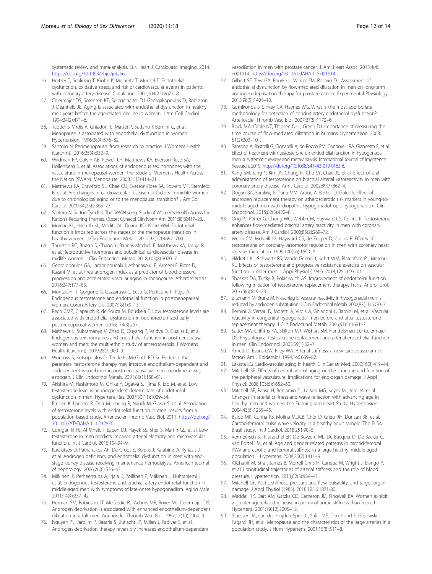<span id="page-11-0"></span>systematic review and meta-analysis. Eur. Heart J. Cardiovasc. Imaging. 2014. [https://doi.org/10.1093/ehjci/jet256.](https://doi.org/10.1093/ehjci/jet256)

- 56. Heitzer T, Schlinzig T, Krohn K, Meinertz T, Munzel T. Endothelial dysfunction, oxidative stress, and risk of cardiovascular events in patients with coronary artery disease. Circulation. 2001;104(22):2673–8.
- 57. Celermajer DS, Sorensen KE, Spiegelhalter DJ, Georgakopoulos D, Robinson J, Deanfield JE. Aging is associated with endothelial dysfunction in healthy men years before the age-related decline in women. J Am Coll Cardiol. 1994;24(2):471–6.
- 58. Taddei S, Virdis A, Ghiadoni L, Mattei P, Sudano I, Bernini G, et al. Menopause is associated with endothelial dysfunction in women. Hypertension. 1996;28(4):576–82.
- 59. Santoro N. Perimenopause: from research to practice. J Womens Health (Larchmt). 2016;25(4):332–9.
- 60. Wildman RP, Colvin AB, Powell LH, Matthews KA, Everson-Rose SA, Hollenberg S, et al. Associations of endogenous sex hormones with the vasculature in menopausal women: the Study of Women's Health Across the Nation (SWAN). Menopause. 2008;15(3):414–21. .
- 61. Matthews KA, Crawford SL, Chae CU, Everson-Rose SA, Sowers MF, Sternfeld B, et al. Are changes in cardiovascular disease risk factors in midlife women due to chronological aging or to the menopausal transition? J Am Coll Cardiol. 2009;54(25):2366–73.
- 62. Santoro N, Sutton-Tyrrell K. The SWAN song: Study of Women's Health Across the Nation's Recurring Themes. Obstet Gynecol Clin North Am. 2011;38(3):417–23. .
- 63. Moreau KL, Hildreth KL, Meditz AL, Deane KD, Kohrt WM. Endothelial function is impaired across the stages of the menopause transition in healthy women. J Clin Endocrinol Metab. 2012;97(12):4692–700.
- 64. Thurston RC, Bhasin S, Chang Y, Barinas-Mitchell E, Matthews KA, Jasuja R, et al. Reproductive hormones and subclinical cardiovascular disease in midlife women. J Clin Endocrinol Metab. 2018;103(8):3070–7.
- 65. Georgiopoulos GA, Lambrinoudaki I, Athanasouli F, Armeni E, Rizos D, Kazani M, et al. Free androgen index as a predictor of blood pressure progression and accelerated vascular aging in menopause. Atherosclerosis. 2016;247:177–83.
- 66. Montalcini T, Gorgone G, Gazzaruso C, Sesti G, Perticone F, Pujia A. Endogenous testosterone and endothelial function in postmenopausal women. Coron Artery Dis. 2007;18(1):9–13.
- 67. Rech CMZ, Clapauch R, de Souza M, Bouskela E. Low testosterone levels are associated with endothelial dysfunction in oophorectomized early postmenopausal women. 2016;174(3):297.
- 68. Mathews L, Subramanya V, Zhao D, Ouyang P, Vaidya D, Guallar E, et al. Endogenous sex hormones and endothelial function in postmenopausal women and men: the multi-ethnic study of atherosclerosis. J Womens Health (Larchmt). 2019:28(7):900-9.
- 69. Worboys S, Kotsopoulos D, Teede H, McGrath BD Sr. Evidence that parenteral testosterone therapy may improve endothelium-dependent and -independent vasodilation in postmenopausal women already receiving estrogen. J Clin Endocrinol Metab. 2001;86(1):158–61. .
- 70. Akishita M, Hashimoto M, Ohike Y, Ogawa S, Iijima K, Eto M, et al. Low testosterone level is an independent determinant of endothelial dysfunction in men. Hypertens Res. 2007;30(11):1029–34.
- 71. Empen K, Lorbeer R, Dorr M, Haring R, Nauck M, Glaser S, et al. Association of testosterone levels with endothelial function in men: results from a population-based study. Arterioscler Thromb Vasc Biol. 2011. [https://doi.org/](https://doi.org/10.1161/ATVBAHA.111.232876) [10.1161/ATVBAHA.111.232876](https://doi.org/10.1161/ATVBAHA.111.232876).
- 72. Corrigan Iii FE, Al Mheid I, Eapen DJ, Hayek SS, Sher S, Martin GS, et al. Low testosterone in men predicts impaired arterial elasticity and microvascular function. Int J Cardiol. 2015;194:94–9.
- 73. Karakitsos D, Patrianakos AP, De Groot E, Boletis J, Karabinis A, Kyriazis J, et al. Androgen deficiency and endothelial dysfunction in men with endstage kidney disease receiving maintenance hemodialysis. American journal of nephrology. 2006;26(6):536–43.
- 74. Mäkinen JI, Perheentupa A, Irjala K, Pöllänen P, Mäkinen J, Huhtaniemi I, et al. Endogenous testosterone and brachial artery endothelial function in middle-aged men with symptoms of late-onset hypogonadism. Aging Male. 2011;14(4):237–42.
- 75. Herman SM, Robinson JT, McCredie RJ, Adams MR, Boyer MJ, Celermajer DS. Androgen deprivation is associated with enhanced endothelium-dependent dilatation in adult men. Arterioscler Thromb Vasc Biol. 1997;17(10):2004–9.
- 76. Nguyen PL, Jarolim P, Basaria S, Zuflacht JP, Milian J, Kadivar S, et al. Androgen deprivation therapy reversibly increases endothelium-dependent

vasodilation in men with prostate cancer. J. Am. Heart Assoc. 2015;4(4): e001914. <https://doi.org/10.1161/JAHA.115.001914>.

- 77. Gilbert SE, Tew GA, Bourke L, Winter EM, Rosario DJ. Assessment of endothelial dysfunction by flow-mediated dilatation in men on long-term androgen deprivation therapy for prostate cancer. Experimental Physiology. 2013;98(9):1401–10.
- 78. Guthikonda S, Sinkey CA, Haynes WG. What is the most appropriate methodology for detection of conduit artery endothelial dysfunction? Arterioscler Thromb Vasc Biol. 2007;27(5):1172–6.
- 79. Black MA, Cable NT, Thijssen DHJ, Green DJ. Importance of measuring the time course of flow-mediated dilatation in humans. Hypertension. 2008; 51(2):203–10. .
- 80. Sansone A, Rastrelli G, Cignarelli A, de Rocco PM, Condorelli RA, Giannetta E, et al. Effect of treatment with testosterone on endothelial function in hypogonadal men: a systematic review and meta-analysis. International Journal of Impotence Research. 2019. [https://doi.org/10.1038/s41443-019-0163-6.](https://doi.org/10.1038/s41443-019-0163-6)
- 81. Kang SM, Jang Y, Kim JY, Chung N, Cho SY, Chae JS, et al. Effect of oral administration of testosterone on brachial arterial vasoreactivity in men with coronary artery disease. Am J Cardiol. 2002;89(7):862–4.
- 82. Doğan BA, Karakılıç E, Tuna MM, Arduç A, Berker D, Güler S. Effect of androgen replacement therapy on atherosclerotic risk markers in young-tomiddle-aged men with idiopathic hypogonadotropic hypogonadism. Clin Endocrinol. 2015;82(3):422–8. .
- 83. Ong PJ, Patrizi G, Chong WC, Webb CM, Hayward CS, Collins P. Testosterone enhances flow-mediated brachial artery reactivity in men with coronary artery disease. Am J Cardiol. 2000;85(2):269–72.
- 84. Webb CM, McNeill JG, Hayward CS, de Zeigler D, Collins P. Effects of testosterone on coronary vasomotor regulation in men with coronary heart disease. Circulation. 1999;100(16):1690–6.
- 85. Hildreth KL, Schwartz RS, Vande Griend J, Kohrt WM, Blatchford PJ, Moreau KL. Effects of testosterone and progressive resistance exercise on vascular function in older men. J Appl Physiol (1985). 2018;125:1693–01.
- 86. Shoskes DA, Tucky B, Polackwich AS. Improvement of endothelial function following initiation of testosterone replacement therapy. Transl Androl Urol. 2016;5(6):819–23.
- 87. Zitzmann M, Brune M, Nieschlag E. Vascular reactivity in hypogonadal men is reduced by androgen substitution. J Clin Endocrinol Metab. 2002;87(11):5030–7. .
- 88. Bernini G, Versari D, Moretti A, Virdis A, Ghiadoni L, Bardini M, et al. Vascular reactivity in congenital hypogonadal men before and after testosterone replacement therapy. J Clin Endocrinol Metab. 2006;91(5):1691–7.
- 89. Sader MA, Griffiths KA, Skilton MR, Wishart SM, Handelsman DJ, Celermajer DS. Physiological testosterone replacement and arterial endothelial function in men. Clin Endocrinol. 2003;59(1):62–7.
- 90. Arnett D, Evans GW, Riley WA. Arterial stiffness: a new cardiovascular risk factor? Am J Epidemiol. 1994;140:669–82.
- 91. Lakatta EG. Cardiovascular aging in health. Clin Geriatr Med. 2000;16(3):419–44.
- 92. Mitchell GF. Effects of central arterial aging on the structure and function of the peripheral vasculature: implications for end-organ damage. J Appl Physiol. 2008;105(5):1652–60.
- 93. Mitchell GF, Parise H, Benjamin EJ, Larson MG, Keyes MJ, Vita JA, et al. Changes in arterial stiffness and wave reflection with advancing age in healthy men and women: the Framingham Heart Study. Hypertension. 2004;43(6):1239–45.
- 94. Baldo MP, Cunha RS, Molina MDCB, Chór D, Griep RH, Duncan BB, et al. Carotid-femoral pulse wave velocity in a healthy adult sample: The ELSA-Brasil study. Int J Cardiol. 2018;251:90–5.
- 95. Vermeersch SJ, Rietzschel ER, De Buyzere ML, De Bacquer D, De Backer G, Van Bortel LM, et al. Age and gender related patterns in carotid-femoral PWV and carotid and femoral stiffness in a large healthy, middle-aged population. J Hypertens. 2008;26(7):1411–9.
- 96. AlGhatrif M, Strait James B, Morrell Chris H, Canepa M, Wright J, Elango P, et al. Longitudinal trajectories of arterial stiffness and the role of blood pressure. Hypertension. 2013;62(5):934–41.
- 97. Mitchell GF. Aortic stiffness, pressure and flow pulsatility, and target organ damage. J Appl Physiol (1985). 2018;125:6:1871-80.
- 98. Waddell TK, Dart AM, Gatzka CD, Cameron JD, Kingwell BA. Women exhibit a greater age-related increase in proximal aortic stiffness than men. J Hypertens. 2001;19(12):2205–12.
- Staessen JA, van der Heijden-Spek JJ, Safar ME, Den Hond E, Gasowski J, Fagard RH, et al. Menopause and the characteristics of the large arteries in a population study. J Hum Hypertens. 2001;15(8):511–8.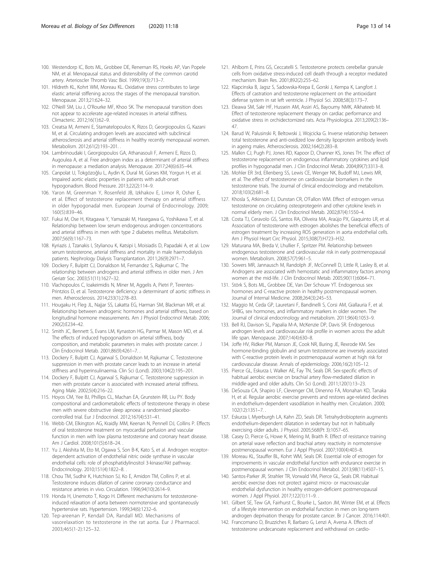- <span id="page-12-0"></span>100. Westendorp IC, Bots ML, Grobbee DE, Reneman RS, Hoeks AP, Van Popele NM, et al. Menopausal status and distensibility of the common carotid artery. Arterioscler Thromb Vasc Biol. 1999;19(3):713–7.
- 101. Hildreth KL, Kohrt WM, Moreau KL. Oxidative stress contributes to large elastic arterial stiffening across the stages of the menopausal transition. Menopause. 2013;21:624–32.
- 102. O'Neill SM, Liu J, O'Rourke MF, Khoo SK. The menopausal transition does not appear to accelerate age-related increases in arterial stiffness. Climacteric. 2012;16(1):62–9.
- 103. Creatsa M, Armeni E, Stamatelopoulos K, Rizos D, Georgiopoulos G, Kazani M, et al. Circulating androgen levels are associated with subclinical atherosclerosis and arterial stiffness in healthy recently menopausal women. Metabolism. 2012;61(2):193–201. .
- 104. Lambrinoudaki I, Georgiopoulos GA, Athanasouli F, Armeni E, Rizos D, Augoulea A, et al. Free androgen index as a determinant of arterial stiffness in menopause: a mediation analysis. Menopause. 2017;24(6):635–44.
- 105. Canpolat U, Tokgözoğlu L, Aydin K, Dural M, Gürses KM, Yorgun H, et al. Impaired aortic elastic properties in patients with adult-onset hypogonadism. Blood Pressure. 2013;22(2):114–9.
- 106. Yaron M, Greenman Y, Rosenfeld JB, Izkhakov E, Limor R, Osher E, et al. Effect of testosterone replacement therapy on arterial stiffness in older hypogonadal men. European Journal of Endocrinology. 2009; 160(5):839–46.
- 107. Fukui M, Ose H, Kitagawa Y, Yamazaki M, Hasegawa G, Yoshikawa T, et al. Relationship between low serum endogenous androgen concentrations and arterial stiffness in men with type 2 diabetes mellitus. Metabolism. 2007;56(9):1167–73.
- 108. Kyriazis J, Tzanakis I, Stylianou K, Katsipi I, Moisiadis D, Papadaki A, et al. Low serum testosterone, arterial stiffness and mortality in male haemodialysis patients. Nephrology Dialysis Transplantation. 2011;26(9):2971–7.
- 109. Dockery F, Bulpitt CJ, Donaldson M, Fernandez S, Rajkumar C. The relationship between androgens and arterial stiffness in older men. J Am Geriatr Soc. 2003;51(11):1627–32.
- 110. Vlachopoulos C, Ioakeimidis N, Miner M, Aggelis A, Pietri P, Terentes-Printzios D, et al. Testosterone deficiency: a determinant of aortic stiffness in men. Atherosclerosis. 2014;233(1):278–83.
- 111. Hougaku H, Fleg JL, Najjar SS, Lakatta EG, Harman SM, Blackman MR, et al. Relationship between androgenic hormones and arterial stiffness, based on longitudinal hormone measurements. Am J Physiol Endocrinol Metab. 2006; 290(2):E234–42.
- 112. Smith JC, Bennett S, Evans LM, Kynaston HG, Parmar M, Mason MD, et al. The effects of induced hypogonadism on arterial stiffness, body composition, and metabolic parameters in males with prostate cancer. J Clin Endocrinol Metab. 2001;86(9):4261–7. .
- 113. Dockery F, Bulpitt CJ, Agarwal S, Donaldson M, Rajkumar C. Testosterone suppression in men with prostate cancer leads to an increase in arterial stiffness and hyperinsulinaemia. Clin Sci (Lond). 2003;104(2):195–201.
- 114. Dockery F, Bulpitt CJ, Agarwal S, Rajkumar C. Testosterone suppression in men with prostate cancer is associated with increased arterial stiffness. Aging Male. 2002;5(4):216–22.
- 115. Hoyos CM, Yee BJ, Phillips CL, Machan EA, Grunstein RR, Liu PY. Body compositional and cardiometabolic effects of testosterone therapy in obese men with severe obstructive sleep apnoea: a randomised placebocontrolled trial. Eur J Endocrinol. 2012;167(4):531–41.
- 116. Webb CM, Elkington AG, Kraidly MM, Keenan N, Pennell DJ, Collins P. Effects of oral testosterone treatment on myocardial perfusion and vascular function in men with low plasma testosterone and coronary heart disease. Am J Cardiol. 2008;101(5):618–24. .
- 117. Yu J, Akishita M, Eto M, Ogawa S, Son B-K, Kato S, et al. Androgen receptordependent activation of endothelial nitric oxide synthase in vascular endothelial cells: role of phosphatidylinositol 3-kinase/Akt pathway. Endocrinology. 2010;151(4):1822–8. .
- 118. Chou TM, Sudhir K, Hutchison SJ, Ko E, Amidon TM, Collins P, et al. Testosterone induces dilation of canine coronary conductance and resistance arteries in vivo. Circulation. 1996;94(10):2614–9.
- 119. Honda H, Unemoto T, Kogo H. Different mechanisms for testosteroneinduced relaxation of aorta between normotensive and spontaneously hypertensive rats. Hypertension. 1999;34(6):1232–6.
- 120. Tep-areenan P, Kendall DA, Randall MD. Mechanisms of vasorelaxation to testosterone in the rat aorta. Eur J Pharmacol. 2003;465(1-2):125–32.
- 121. Ahlbom E, Prins GS, Ceccatelli S. Testosterone protects cerebellar granule cells from oxidative stress-induced cell death through a receptor mediated mechanism. Brain Res. 2001;892(2):255–62.
- 122. Klapcinska B, Jagsz S, Sadowska-Krepa E, Gorski J, Kempa K, Langfort J. Effects of castration and testosterone replacement on the antioxidant defense system in rat left ventricle. J Physiol Sci. 2008;58(3):173–7.
- 123. Eleawa SM, Sakr HF, Hussein AM, Assiri AS, Bayoumy NMK, Alkhateeb M. Effect of testosterone replacement therapy on cardiac performance and oxidative stress in orchidectomized rats. Acta Physiologica. 2013;209(2):136– 47.
- 124. Barud W, Palusinski R, Beltowski J, Wojcicka G. Inverse relationship between total testosterone and anti-oxidized low density lipoprotein antibody levels in ageing males. Atherosclerosis. 2002;164(2):283–8.
- 125. Malkin CJ, Pugh PJ, Jones RD, Kapoor D, Channer KS, Jones TH. The effect of testosterone replacement on endogenous inflammatory cytokines and lipid profiles in hypogonadal men. J Clin Endocrinol Metab. 2004;89(7):3313–8.
- 126. Mohler ER 3rd, Ellenberg SS, Lewis CE, Wenger NK, Budoff MJ, Lewis MR, et al. The effect of testosterone on cardiovascular biomarkers in the testosterone trials. The Journal of clinical endocrinology and metabolism. 2018;103(2):681–8.
- 127. Khosla S, Atkinson EJ, Dunstan CR, O'Fallon WM. Effect of estrogen versus testosterone on circulating osteoprotegerin and other cytokine levels in normal elderly men. J Clin Endocrinol Metab. 2002;87(4):1550–4.
- 128. Costa TJ, Ceravolo GS, Santos RA, Oliveira MA, Araújo PX, Giaquinto LR, et al. Association of testosterone with estrogen abolishes the beneficial effects of estrogen treatment by increasing ROS generation in aorta endothelial cells. Am J Physiol Heart Circ Physiol. 2015;308(7):H723–H32.
- 129. Maturana MA, Breda V, Lhullier F, Spritzer PM. Relationship between endogenous testosterone and cardiovascular risk in early postmenopausal women. Metabolism. 2008;57(7):961–5.
- 130. Sowers MR, Jannausch M, Randolph JF, McConnell D, Little R, Lasley B, et al. Androgens are associated with hemostatic and inflammatory factors among women at the mid-life. J Clin Endocrinol Metab. 2005;90(11):6064–71.
- 131. Störk S, Bots ML, Grobbee DE, Van Der Schouw YT. Endogenous sex hormones and C-reactive protein in healthy postmenopausal women. Journal of Internal Medicine. 2008;264(3):245–53.
- 132. Maggio M, Ceda GP, Lauretani F, Bandinelli S, Corsi AM, Giallauria F, et al. SHBG, sex hormones, and inflammatory markers in older women. The Journal of clinical endocrinology and metabolism. 2011;96(4):1053–9.
- 133. Bell RJ, Davison SL, Papalia M-A, McKenzie DP, Davis SR. Endogenous androgen levels and cardiovascular risk profile in women across the adult life span. Menopause. 2007;14(4):630–8.
- 134. Joffe HV, Ridker PM, Manson JE, Cook NR, Buring JE, Rexrode KM. Sex hormone-binding globulin and serum testosterone are inversely associated with C-reactive protein levels in postmenopausal women at high risk for cardiovascular disease. Annals of epidemiology. 2006;16(2):105–12.
- 135. Pierce GL, Eskurza I, Walker AE, Fay TN, Seals DR. Sex-specific effects of habitual aerobic exercise on brachial artery flow-mediated dilation in middle-aged and older adults. Clin Sci (Lond). 2011;120(1):13–23.
- 136. DeSouza CA, Shapiro LF, Clevenger CM, Dinenno FA, Monahan KD, Tanaka H, et al. Regular aerobic exercise prevents and restores age-related declines in endothelium-dependent vasodilation in healthy men. Circulation. 2000; 102(12):1351–7. .
- 137. Eskurza I, Myerburgh LA, Kahn ZD, Seals DR. Tetrahydrobiopterin augments endothelium-dependent dilatation in sedentary but not in habitually exercising older adults. J Physiol. 2005;568(Pt 3):1057–65.
- 138. Casey D, Pierce G, Howe K, Mering M, Braith R. Effect of resistance training on arterial wave reflection and brachial artery reactivity in normotensive postmenopausal women. Eur J Appl Physiol. 2007;100(4):403–8.
- 139. Moreau KL, Stauffer BL, Kohrt WM, Seals DR. Essential role of estrogen for improvements in vascular endothelial function with endurance exercise in postmenopausal women. J Clin Endocrinol Metabol. 2013;98(11):4507–15.
- 140. Santos-Parker JR, Strahler TR, Vorwald VM, Pierce GL, Seals DR. Habitual aerobic exercise does not protect against micro- or macrovascular endothelial dysfunction in healthy estrogen-deficient postmenopausal women. J Appl Physiol. 2017;122(1):11–9. .
- 141. Gilbert SE, Tew GA, Fairhurst C, Bourke L, Saxton JM, Winter EM, et al. Effects of a lifestyle intervention on endothelial function in men on long-term androgen deprivation therapy for prostate cancer. Br J Cancer. 2016;114:401.
- 142. Francomano D, Bruzziches R, Barbaro G, Lenzi A, Aversa A. Effects of testosterone undecanoate replacement and withdrawal on cardio-